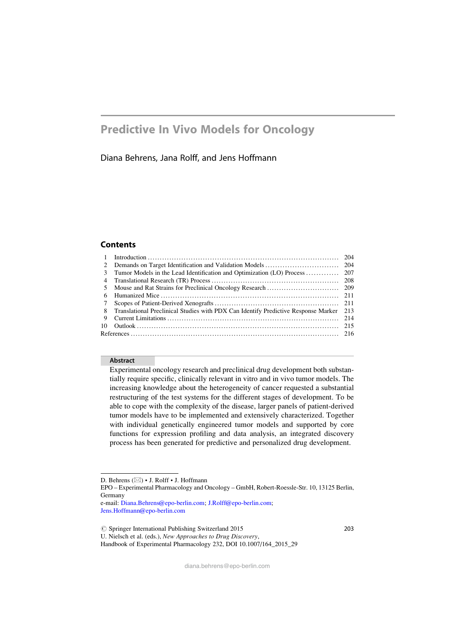# Predictive In Vivo Models for Oncology

Diana Behrens, Jana Rolff, and Jens Hoffmann

## Contents

| 2               |                                                                                      |     |
|-----------------|--------------------------------------------------------------------------------------|-----|
| 3               |                                                                                      |     |
|                 |                                                                                      |     |
| 5.              |                                                                                      |     |
| 6               |                                                                                      |     |
| $7\phantom{.0}$ |                                                                                      |     |
|                 | 8 Translational Preclinical Studies with PDX Can Identify Predictive Response Marker | 213 |
| -9              |                                                                                      |     |
| 10.             |                                                                                      |     |
|                 |                                                                                      |     |

## Abstract

Experimental oncology research and preclinical drug development both substantially require specific, clinically relevant in vitro and in vivo tumor models. The increasing knowledge about the heterogeneity of cancer requested a substantial restructuring of the test systems for the different stages of development. To be able to cope with the complexity of the disease, larger panels of patient-derived tumor models have to be implemented and extensively characterized. Together with individual genetically engineered tumor models and supported by core functions for expression profiling and data analysis, an integrated discovery process has been generated for predictive and personalized drug development.

diana.behrens@epo-berlin.com

203

D. Behrens ( $\boxtimes$ ) • J. Rolff • J. Hoffmann

EPO – Experimental Pharmacology and Oncology – GmbH, Robert-Roessle-Str. 10, 13125 Berlin, Germany

e-mail: Diana.Behrens@epo-berlin.com; J.Rolff@epo-berlin.com; Jens.Hoffmann@epo-berlin.com

 $\oslash$  Springer International Publishing Switzerland 2015

U. Nielsch et al. (eds.), New Approaches to Drug Discovery,

Handbook of Experimental Pharmacology 232, DOI 10.1007/164\_2015\_29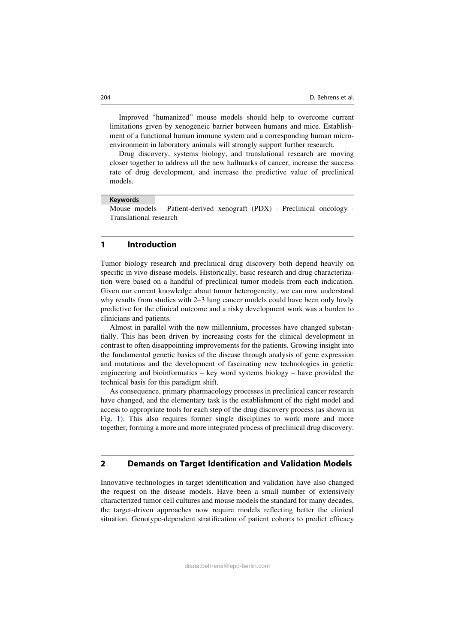Improved "humanized" mouse models should help to overcome current limitations given by xenogeneic barrier between humans and mice. Establishment of a functional human immune system and a corresponding human microenvironment in laboratory animals will strongly support further research.

Drug discovery, systems biology, and translational research are moving closer together to address all the new hallmarks of cancer, increase the success rate of drug development, and increase the predictive value of preclinical models.

#### Keywords

Mouse models - Patient-derived xenograft (PDX) - Preclinical oncology - Translational research

## 1 Introduction

Tumor biology research and preclinical drug discovery both depend heavily on specific in vivo disease models. Historically, basic research and drug characterization were based on a handful of preclinical tumor models from each indication. Given our current knowledge about tumor heterogeneity, we can now understand why results from studies with 2–3 lung cancer models could have been only lowly predictive for the clinical outcome and a risky development work was a burden to clinicians and patients.

Almost in parallel with the new millennium, processes have changed substantially. This has been driven by increasing costs for the clinical development in contrast to often disappointing improvements for the patients. Growing insight into the fundamental genetic basics of the disease through analysis of gene expression and mutations and the development of fascinating new technologies in genetic engineering and bioinformatics – key word systems biology – have provided the technical basis for this paradigm shift.

As consequence, primary pharmacology processes in preclinical cancer research have changed, and the elementary task is the establishment of the right model and access to appropriate tools for each step of the drug discovery process (as shown in Fig. 1). This also requires former single disciplines to work more and more together, forming a more and more integrated process of preclinical drug discovery.

# 2 Demands on Target Identification and Validation Models

Innovative technologies in target identification and validation have also changed the request on the disease models. Have been a small number of extensively characterized tumor cell cultures and mouse models the standard for many decades, the target-driven approaches now require models reflecting better the clinical situation. Genotype-dependent stratification of patient cohorts to predict efficacy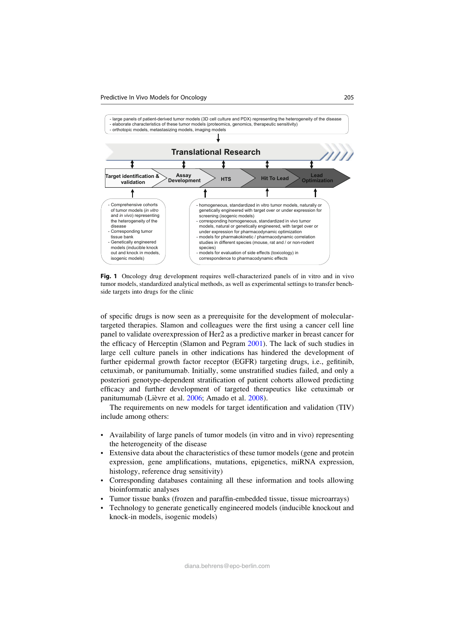

Fig. 1 Oncology drug development requires well-characterized panels of in vitro and in vivo tumor models, standardized analytical methods, as well as experimental settings to transfer benchside targets into drugs for the clinic

of specific drugs is now seen as a prerequisite for the development of moleculartargeted therapies. Slamon and colleagues were the first using a cancer cell line panel to validate overexpression of Her2 as a predictive marker in breast cancer for the efficacy of Herceptin (Slamon and Pegram 2001). The lack of such studies in large cell culture panels in other indications has hindered the development of further epidermal growth factor receptor (EGFR) targeting drugs, i.e., gefitinib, cetuximab, or panitumumab. Initially, some unstratified studies failed, and only a posteriori genotype-dependent stratification of patient cohorts allowed predicting efficacy and further development of targeted therapeutics like cetuximab or panitumumab (Lièvre et al. 2006; Amado et al. 2008).

The requirements on new models for target identification and validation (TIV) include among others:

- Availability of large panels of tumor models (in vitro and in vivo) representing the heterogeneity of the disease
- Extensive data about the characteristics of these tumor models (gene and protein expression, gene amplifications, mutations, epigenetics, miRNA expression, histology, reference drug sensitivity)
- Corresponding databases containing all these information and tools allowing bioinformatic analyses
- Tumor tissue banks (frozen and paraffin-embedded tissue, tissue microarrays)
- Technology to generate genetically engineered models (inducible knockout and knock-in models, isogenic models)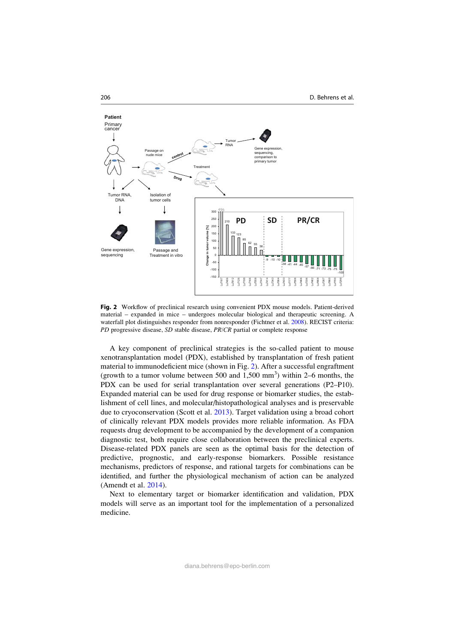

Fig. 2 Workflow of preclinical research using convenient PDX mouse models. Patient-derived material – expanded in mice – undergoes molecular biological and therapeutic screening. A waterfall plot distinguishes responder from nonresponder (Fichtner et al. 2008). RECIST criteria: PD progressive disease, SD stable disease, PR/CR partial or complete response

A key component of preclinical strategies is the so-called patient to mouse xenotransplantation model (PDX), established by transplantation of fresh patient material to immunodeficient mice (shown in Fig. 2). After a successful engraftment (growth to a tumor volume between 500 and  $1,500$  mm<sup>3</sup>) within 2–6 months, the PDX can be used for serial transplantation over several generations (P2–P10). Expanded material can be used for drug response or biomarker studies, the establishment of cell lines, and molecular/histopathological analyses and is preservable due to cryoconservation (Scott et al. 2013). Target validation using a broad cohort of clinically relevant PDX models provides more reliable information. As FDA requests drug development to be accompanied by the development of a companion diagnostic test, both require close collaboration between the preclinical experts. Disease-related PDX panels are seen as the optimal basis for the detection of predictive, prognostic, and early-response biomarkers. Possible resistance mechanisms, predictors of response, and rational targets for combinations can be identified, and further the physiological mechanism of action can be analyzed (Amendt et al. 2014).

Next to elementary target or biomarker identification and validation, PDX models will serve as an important tool for the implementation of a personalized medicine.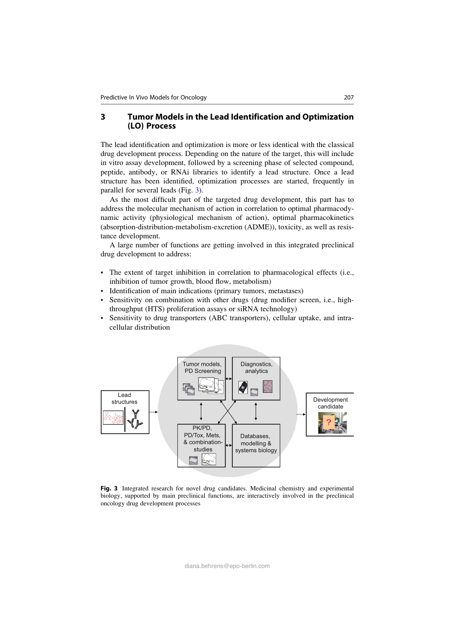# 3 Tumor Models in the Lead Identification and Optimization (LO) Process

The lead identification and optimization is more or less identical with the classical drug development process. Depending on the nature of the target, this will include in vitro assay development, followed by a screening phase of selected compound, peptide, antibody, or RNAi libraries to identify a lead structure. Once a lead structure has been identified, optimization processes are started, frequently in parallel for several leads (Fig. 3).

As the most difficult part of the targeted drug development, this part has to address the molecular mechanism of action in correlation to optimal pharmacodynamic activity (physiological mechanism of action), optimal pharmacokinetics (absorption-distribution-metabolism-excretion (ADME)), toxicity, as well as resistance development.

A large number of functions are getting involved in this integrated preclinical drug development to address:

- The extent of target inhibition in correlation to pharmacological effects (i.e., inhibition of tumor growth, blood flow, metabolism)
- Identification of main indications (primary tumors, metastases)
- Sensitivity on combination with other drugs (drug modifier screen, i.e., highthroughput (HTS) proliferation assays or siRNA technology)
- Sensitivity to drug transporters (ABC transporters), cellular uptake, and intracellular distribution



Fig. 3 Integrated research for novel drug candidates. Medicinal chemistry and experimental biology, supported by main preclinical functions, are interactively involved in the preclinical oncology drug development processes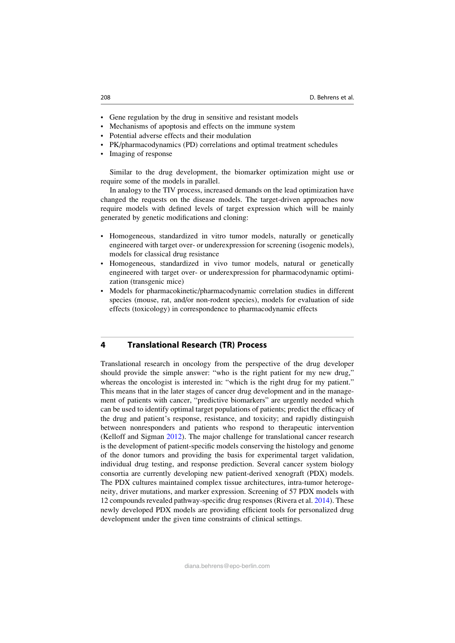- Gene regulation by the drug in sensitive and resistant models
- Mechanisms of apoptosis and effects on the immune system
- Potential adverse effects and their modulation
- PK/pharmacodynamics (PD) correlations and optimal treatment schedules
- Imaging of response

Similar to the drug development, the biomarker optimization might use or require some of the models in parallel.

In analogy to the TIV process, increased demands on the lead optimization have changed the requests on the disease models. The target-driven approaches now require models with defined levels of target expression which will be mainly generated by genetic modifications and cloning:

- Homogeneous, standardized in vitro tumor models, naturally or genetically engineered with target over- or underexpression for screening (isogenic models), models for classical drug resistance
- Homogeneous, standardized in vivo tumor models, natural or genetically engineered with target over- or underexpression for pharmacodynamic optimization (transgenic mice)
- Models for pharmacokinetic/pharmacodynamic correlation studies in different species (mouse, rat, and/or non-rodent species), models for evaluation of side effects (toxicology) in correspondence to pharmacodynamic effects

## 4 Translational Research (TR) Process

Translational research in oncology from the perspective of the drug developer should provide the simple answer: "who is the right patient for my new drug," whereas the oncologist is interested in: "which is the right drug for my patient." This means that in the later stages of cancer drug development and in the management of patients with cancer, "predictive biomarkers" are urgently needed which can be used to identify optimal target populations of patients; predict the efficacy of the drug and patient's response, resistance, and toxicity; and rapidly distinguish between nonresponders and patients who respond to therapeutic intervention (Kelloff and Sigman 2012). The major challenge for translational cancer research is the development of patient-specific models conserving the histology and genome of the donor tumors and providing the basis for experimental target validation, individual drug testing, and response prediction. Several cancer system biology consortia are currently developing new patient-derived xenograft (PDX) models. The PDX cultures maintained complex tissue architectures, intra-tumor heterogeneity, driver mutations, and marker expression. Screening of 57 PDX models with 12 compounds revealed pathway-specific drug responses (Rivera et al. 2014). These newly developed PDX models are providing efficient tools for personalized drug development under the given time constraints of clinical settings.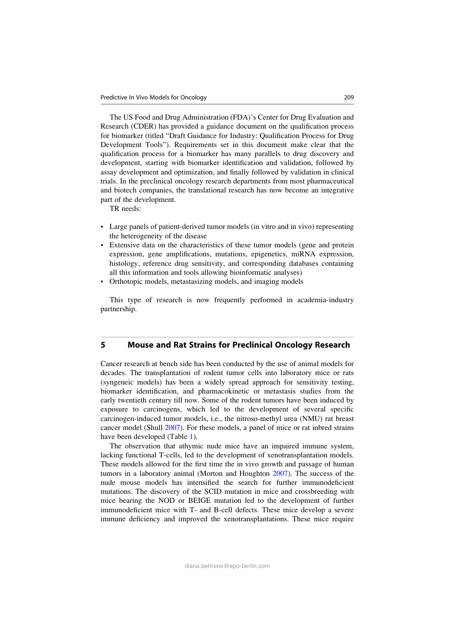The US Food and Drug Administration (FDA)'s Center for Drug Evaluation and Research (CDER) has provided a guidance document on the qualification process for biomarker (titled "Draft Guidance for Industry: Qualification Process for Drug Development Tools"). Requirements set in this document make clear that the qualification process for a biomarker has many parallels to drug discovery and development, starting with biomarker identification and validation, followed by assay development and optimization, and finally followed by validation in clinical trials. In the preclinical oncology research departments from most pharmaceutical and biotech companies, the translational research has now become an integrative part of the development.

TR needs:

- Large panels of patient-derived tumor models (in vitro and in vivo) representing the heterogeneity of the disease
- Extensive data on the characteristics of these tumor models (gene and protein expression, gene amplifications, mutations, epigenetics, miRNA expression, histology, reference drug sensitivity, and corresponding databases containing all this information and tools allowing bioinformatic analyses)
- Orthotopic models, metastasizing models, and imaging models

This type of research is now frequently performed in academia-industry partnership.

#### 5 Mouse and Rat Strains for Preclinical Oncology Research

Cancer research at bench side has been conducted by the use of animal models for decades. The transplantation of rodent tumor cells into laboratory mice or rats (syngeneic models) has been a widely spread approach for sensitivity testing, biomarker identification, and pharmacokinetic or metastasis studies from the early twentieth century till now. Some of the rodent tumors have been induced by exposure to carcinogens, which led to the development of several specific carcinogen-induced tumor models, i.e., the nitroso-methyl urea (NMU) rat breast cancer model (Shull 2007). For these models, a panel of mice or rat inbred strains have been developed (Table 1).

The observation that athymic nude mice have an impaired immune system, lacking functional T-cells, led to the development of xenotransplantation models. These models allowed for the first time the in vivo growth and passage of human tumors in a laboratory animal (Morton and Houghton 2007). The success of the nude mouse models has intensified the search for further immunodeficient mutations. The discovery of the SCID mutation in mice and crossbreeding with mice bearing the NOD or BEIGE mutation led to the development of further immunodeficient mice with T- and B-cell defects. These mice develop a severe immune deficiency and improved the xenotransplantations. These mice require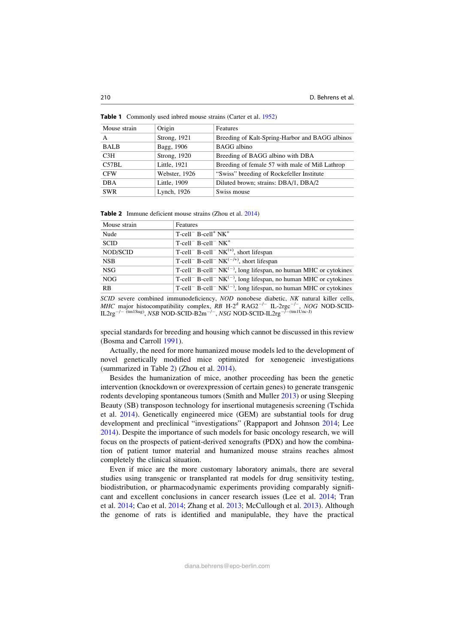| Mouse strain    | Origin        | <b>Features</b>                                 |
|-----------------|---------------|-------------------------------------------------|
| A               | Strong, 1921  | Breeding of Kalt-Spring-Harbor and BAGG albinos |
| <b>BALB</b>     | Bagg, 1906    | <b>BAGG</b> albino                              |
| C <sub>3H</sub> | Strong, 1920  | Breeding of BAGG albino with DBA                |
| C57BL           | Little, 1921  | Breeding of female 57 with male of Miß Lathrop  |
| <b>CFW</b>      | Webster, 1926 | "Swiss" breeding of Rockefeller Institute       |
| <b>DBA</b>      | Little, 1909  | Diluted brown; strains: DBA/1, DBA/2            |
| <b>SWR</b>      | Lynch, 1926   | Swiss mouse                                     |

Table 1 Commonly used inbred mouse strains (Carter et al. 1952)

Table 2 Immune deficient mouse strains (Zhou et al. 2014)

| Mouse strain | Features                                                                                                          |
|--------------|-------------------------------------------------------------------------------------------------------------------|
| Nude         | $T$ -cell <sup>-</sup> B-cell <sup>+</sup> NK <sup>+</sup>                                                        |
| <b>SCID</b>  | $T$ -cell <sup>-</sup> B-cell <sup>-</sup> NK <sup>+</sup>                                                        |
| NOD/SCID     | $T$ -cell <sup>-</sup> B-cell <sup>-</sup> NK <sup>(+)</sup> , short lifespan                                     |
| <b>NSB</b>   | T-cell <sup>-</sup> B-cell <sup>-</sup> NK <sup><math>(-/+)</math></sup> , short lifespan                         |
| <b>NSG</b>   | $T\text{-cell}^{-}$ B-cell <sup>-</sup> NK <sup><math>(-)</math></sup> , long lifespan, no human MHC or cytokines |
| NOG          | T-cell <sup>-</sup> B-cell <sup>-</sup> NK <sup><math>(-)</math></sup> , long lifespan, no human MHC or cytokines |
| RB           | $T\text{-cell}^{-}$ B-cell <sup>-</sup> NK <sup>(-)</sup> , long lifespan, no human MHC or cytokines              |

SCID severe combined immunodeficiency, NOD nonobese diabetic, NK natural killer cells,<br>MHC major histocompatibility complex, RB H-2<sup>d</sup> RAG2<sup>-/-</sup> IL-2rgc<sup>-/-</sup>, NOG NOD-SCID-<br>II 2rg<sup>-/- (tm1Sug)</sup> NSR NOD-SCID-B2m<sup>-/-</sup> NSG N  $IL2rg^{-/-}$ <sup>(tm1Sug)</sup>, NSB NOD-SCID-B2m<sup>-/-</sup>, NSG NOD-SCID-IL2rg<sup>-/-(tm1Unc-J)</sup>

special standards for breeding and housing which cannot be discussed in this review (Bosma and Carroll 1991).

Actually, the need for more humanized mouse models led to the development of novel genetically modified mice optimized for xenogeneic investigations (summarized in Table 2) (Zhou et al. 2014).

Besides the humanization of mice, another proceeding has been the genetic intervention (knockdown or overexpression of certain genes) to generate transgenic rodents developing spontaneous tumors (Smith and Muller 2013) or using Sleeping Beauty (SB) transposon technology for insertional mutagenesis screening (Tschida et al. 2014). Genetically engineered mice (GEM) are substantial tools for drug development and preclinical "investigations" (Rappaport and Johnson 2014; Lee 2014). Despite the importance of such models for basic oncology research, we will focus on the prospects of patient-derived xenografts (PDX) and how the combination of patient tumor material and humanized mouse strains reaches almost completely the clinical situation.

Even if mice are the more customary laboratory animals, there are several studies using transgenic or transplanted rat models for drug sensitivity testing, biodistribution, or pharmacodynamic experiments providing comparably significant and excellent conclusions in cancer research issues (Lee et al. 2014; Tran et al. 2014; Cao et al. 2014; Zhang et al. 2013; McCullough et al. 2013). Although the genome of rats is identified and manipulable, they have the practical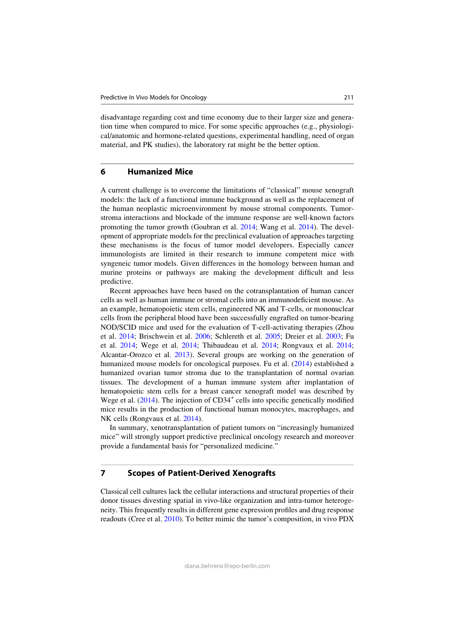disadvantage regarding cost and time economy due to their larger size and generation time when compared to mice. For some specific approaches (e.g., physiological/anatomic and hormone-related questions, experimental handling, need of organ material, and PK studies), the laboratory rat might be the better option.

# 6 Humanized Mice

A current challenge is to overcome the limitations of "classical" mouse xenograft models: the lack of a functional immune background as well as the replacement of the human neoplastic microenvironment by mouse stromal components. Tumorstroma interactions and blockade of the immune response are well-known factors promoting the tumor growth (Goubran et al. 2014; Wang et al. 2014). The development of appropriate models for the preclinical evaluation of approaches targeting these mechanisms is the focus of tumor model developers. Especially cancer immunologists are limited in their research to immune competent mice with syngeneic tumor models. Given differences in the homology between human and murine proteins or pathways are making the development difficult and less predictive.

Recent approaches have been based on the cotransplantation of human cancer cells as well as human immune or stromal cells into an immunodeficient mouse. As an example, hematopoietic stem cells, engineered NK and T-cells, or mononuclear cells from the peripheral blood have been successfully engrafted on tumor-bearing NOD/SCID mice and used for the evaluation of T-cell-activating therapies (Zhou et al. 2014; Brischwein et al. 2006; Schlereth et al. 2005; Dreier et al. 2003; Fu et al. 2014; Wege et al. 2014; Thibaudeau et al. 2014; Rongvaux et al. 2014; Alcantar-Orozco et al. 2013). Several groups are working on the generation of humanized mouse models for oncological purposes. Fu et al. (2014) established a humanized ovarian tumor stroma due to the transplantation of normal ovarian tissues. The development of a human immune system after implantation of hematopoietic stem cells for a breast cancer xenograft model was described by Wege et al.  $(2014)$ . The injection of CD34<sup>+</sup> cells into specific genetically modified mice results in the production of functional human monocytes, macrophages, and NK cells (Rongvaux et al. 2014).

In summary, xenotransplantation of patient tumors on "increasingly humanized mice" will strongly support predictive preclinical oncology research and moreover provide a fundamental basis for "personalized medicine."

# 7 Scopes of Patient-Derived Xenografts

Classical cell cultures lack the cellular interactions and structural properties of their donor tissues divesting spatial in vivo-like organization and intra-tumor heterogeneity. This frequently results in different gene expression profiles and drug response readouts (Cree et al. 2010). To better mimic the tumor's composition, in vivo PDX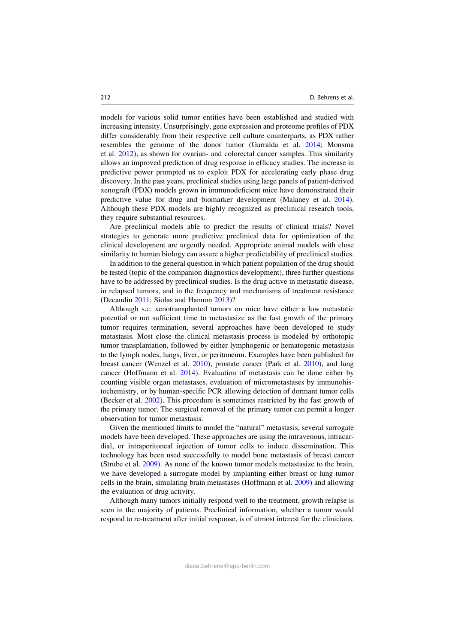models for various solid tumor entities have been established and studied with increasing intensity. Unsurprisingly, gene expression and proteome profiles of PDX differ considerably from their respective cell culture counterparts, as PDX rather resembles the genome of the donor tumor (Garralda et al. 2014; Monsma et al. 2012), as shown for ovarian- and colorectal cancer samples. This similarity allows an improved prediction of drug response in efficacy studies. The increase in predictive power prompted us to exploit PDX for accelerating early phase drug discovery. In the past years, preclinical studies using large panels of patient-derived xenograft (PDX) models grown in immunodeficient mice have demonstrated their predictive value for drug and biomarker development (Malaney et al. 2014). Although these PDX models are highly recognized as preclinical research tools, they require substantial resources.

Are preclinical models able to predict the results of clinical trials? Novel strategies to generate more predictive preclinical data for optimization of the clinical development are urgently needed. Appropriate animal models with close similarity to human biology can assure a higher predictability of preclinical studies.

In addition to the general question in which patient population of the drug should be tested (topic of the companion diagnostics development), three further questions have to be addressed by preclinical studies. Is the drug active in metastatic disease, in relapsed tumors, and in the frequency and mechanisms of treatment resistance (Decaudin 2011; Siolas and Hannon 2013)?

Although s.c. xenotransplanted tumors on mice have either a low metastatic potential or not sufficient time to metastasize as the fast growth of the primary tumor requires termination, several approaches have been developed to study metastasis. Most close the clinical metastasis process is modeled by orthotopic tumor transplantation, followed by either lymphogenic or hematogenic metastasis to the lymph nodes, lungs, liver, or peritoneum. Examples have been published for breast cancer (Wenzel et al. 2010), prostate cancer (Park et al. 2010), and lung cancer (Hoffmann et al. 2014). Evaluation of metastasis can be done either by counting visible organ metastases, evaluation of micrometastases by immunohistochemistry, or by human-specific PCR allowing detection of dormant tumor cells (Becker et al. 2002). This procedure is sometimes restricted by the fast growth of the primary tumor. The surgical removal of the primary tumor can permit a longer observation for tumor metastasis.

Given the mentioned limits to model the "natural" metastasis, several surrogate models have been developed. These approaches are using the intravenous, intracardial, or intraperitoneal injection of tumor cells to induce dissemination. This technology has been used successfully to model bone metastasis of breast cancer (Strube et al. 2009). As none of the known tumor models metastasize to the brain, we have developed a surrogate model by implanting either breast or lung tumor cells in the brain, simulating brain metastases (Hoffmann et al. 2009) and allowing the evaluation of drug activity.

Although many tumors initially respond well to the treatment, growth relapse is seen in the majority of patients. Preclinical information, whether a tumor would respond to re-treatment after initial response, is of utmost interest for the clinicians.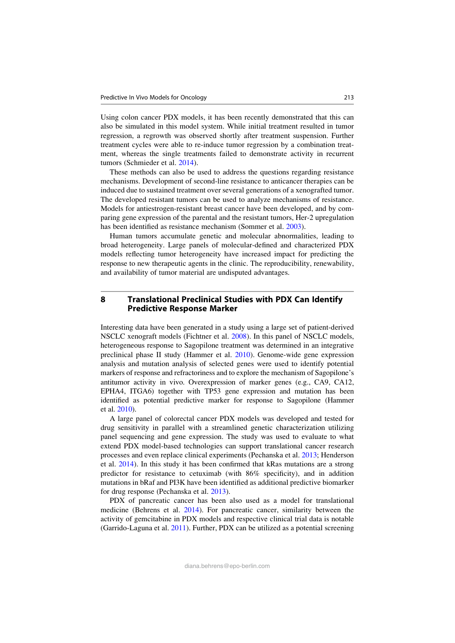Using colon cancer PDX models, it has been recently demonstrated that this can also be simulated in this model system. While initial treatment resulted in tumor regression, a regrowth was observed shortly after treatment suspension. Further treatment cycles were able to re-induce tumor regression by a combination treatment, whereas the single treatments failed to demonstrate activity in recurrent tumors (Schmieder et al. 2014).

These methods can also be used to address the questions regarding resistance mechanisms. Development of second-line resistance to anticancer therapies can be induced due to sustained treatment over several generations of a xenografted tumor. The developed resistant tumors can be used to analyze mechanisms of resistance. Models for antiestrogen-resistant breast cancer have been developed, and by comparing gene expression of the parental and the resistant tumors, Her-2 upregulation has been identified as resistance mechanism (Sommer et al. 2003).

Human tumors accumulate genetic and molecular abnormalities, leading to broad heterogeneity. Large panels of molecular-defined and characterized PDX models reflecting tumor heterogeneity have increased impact for predicting the response to new therapeutic agents in the clinic. The reproducibility, renewability, and availability of tumor material are undisputed advantages.

## 8 Translational Preclinical Studies with PDX Can Identify Predictive Response Marker

Interesting data have been generated in a study using a large set of patient-derived NSCLC xenograft models (Fichtner et al. 2008). In this panel of NSCLC models, heterogeneous response to Sagopilone treatment was determined in an integrative preclinical phase II study (Hammer et al. 2010). Genome-wide gene expression analysis and mutation analysis of selected genes were used to identify potential markers of response and refractoriness and to explore the mechanism of Sagopilone's antitumor activity in vivo. Overexpression of marker genes (e.g., CA9, CA12, EPHA4, ITGA6) together with TP53 gene expression and mutation has been identified as potential predictive marker for response to Sagopilone (Hammer et al. 2010).

A large panel of colorectal cancer PDX models was developed and tested for drug sensitivity in parallel with a streamlined genetic characterization utilizing panel sequencing and gene expression. The study was used to evaluate to what extend PDX model-based technologies can support translational cancer research processes and even replace clinical experiments (Pechanska et al. 2013; Henderson et al. 2014). In this study it has been confirmed that kRas mutations are a strong predictor for resistance to cetuximab (with 86% specificity), and in addition mutations in bRaf and PI3K have been identified as additional predictive biomarker for drug response (Pechanska et al. 2013).

PDX of pancreatic cancer has been also used as a model for translational medicine (Behrens et al. 2014). For pancreatic cancer, similarity between the activity of gemcitabine in PDX models and respective clinical trial data is notable (Garrido-Laguna et al. 2011). Further, PDX can be utilized as a potential screening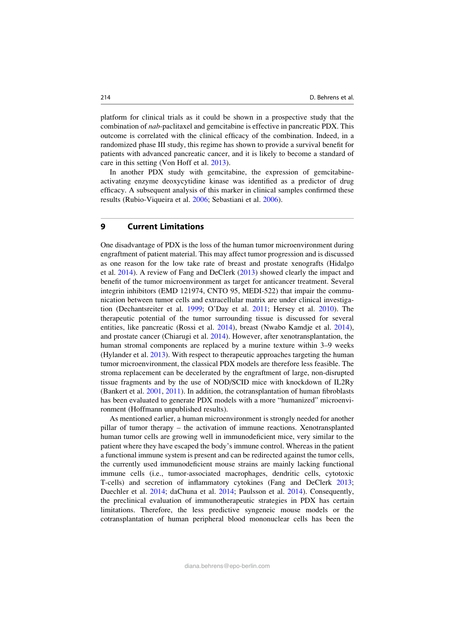platform for clinical trials as it could be shown in a prospective study that the combination of *nab*-paclitaxel and gemcitabine is effective in pancreatic PDX. This outcome is correlated with the clinical efficacy of the combination. Indeed, in a randomized phase III study, this regime has shown to provide a survival benefit for patients with advanced pancreatic cancer, and it is likely to become a standard of care in this setting (Von Hoff et al. 2013).

In another PDX study with gemcitabine, the expression of gemcitabineactivating enzyme deoxycytidine kinase was identified as a predictor of drug efficacy. A subsequent analysis of this marker in clinical samples confirmed these results (Rubio-Viqueira et al. 2006; Sebastiani et al. 2006).

## 9 Current Limitations

One disadvantage of PDX is the loss of the human tumor microenvironment during engraftment of patient material. This may affect tumor progression and is discussed as one reason for the low take rate of breast and prostate xenografts (Hidalgo et al. 2014). A review of Fang and DeClerk (2013) showed clearly the impact and benefit of the tumor microenvironment as target for anticancer treatment. Several integrin inhibitors (EMD 121974, CNTO 95, MEDI-522) that impair the communication between tumor cells and extracellular matrix are under clinical investigation (Dechantsreiter et al. 1999; O'Day et al. 2011; Hersey et al. 2010). The therapeutic potential of the tumor surrounding tissue is discussed for several entities, like pancreatic (Rossi et al. 2014), breast (Nwabo Kamdje et al. 2014), and prostate cancer (Chiarugi et al. 2014). However, after xenotransplantation, the human stromal components are replaced by a murine texture within 3–9 weeks (Hylander et al. 2013). With respect to therapeutic approaches targeting the human tumor microenvironment, the classical PDX models are therefore less feasible. The stroma replacement can be decelerated by the engraftment of large, non-disrupted tissue fragments and by the use of NOD/SCID mice with knockdown of IL2Ry (Bankert et al. 2001, 2011). In addition, the cotransplantation of human fibroblasts has been evaluated to generate PDX models with a more "humanized" microenvironment (Hoffmann unpublished results).

As mentioned earlier, a human microenvironment is strongly needed for another pillar of tumor therapy – the activation of immune reactions. Xenotransplanted human tumor cells are growing well in immunodeficient mice, very similar to the patient where they have escaped the body's immune control. Whereas in the patient a functional immune system is present and can be redirected against the tumor cells, the currently used immunodeficient mouse strains are mainly lacking functional immune cells (i.e., tumor-associated macrophages, dendritic cells, cytotoxic T-cells) and secretion of inflammatory cytokines (Fang and DeClerk 2013; Duechler et al. 2014; daChuna et al. 2014; Paulsson et al. 2014). Consequently, the preclinical evaluation of immunotherapeutic strategies in PDX has certain limitations. Therefore, the less predictive syngeneic mouse models or the cotransplantation of human peripheral blood mononuclear cells has been the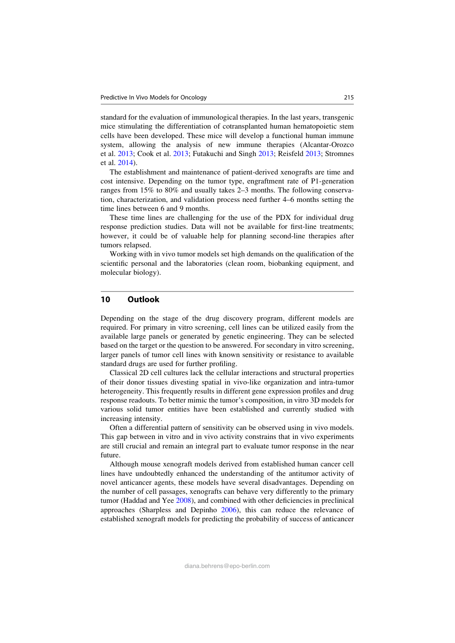standard for the evaluation of immunological therapies. In the last years, transgenic mice stimulating the differentiation of cotransplanted human hematopoietic stem cells have been developed. These mice will develop a functional human immune system, allowing the analysis of new immune therapies (Alcantar-Orozco et al. 2013; Cook et al. 2013; Futakuchi and Singh 2013; Reisfeld 2013; Stromnes et al. 2014).

The establishment and maintenance of patient-derived xenografts are time and cost intensive. Depending on the tumor type, engraftment rate of P1-generation ranges from 15% to 80% and usually takes 2–3 months. The following conservation, characterization, and validation process need further 4–6 months setting the time lines between 6 and 9 months.

These time lines are challenging for the use of the PDX for individual drug response prediction studies. Data will not be available for first-line treatments; however, it could be of valuable help for planning second-line therapies after tumors relapsed.

Working with in vivo tumor models set high demands on the qualification of the scientific personal and the laboratories (clean room, biobanking equipment, and molecular biology).

# 10 Outlook

Depending on the stage of the drug discovery program, different models are required. For primary in vitro screening, cell lines can be utilized easily from the available large panels or generated by genetic engineering. They can be selected based on the target or the question to be answered. For secondary in vitro screening, larger panels of tumor cell lines with known sensitivity or resistance to available standard drugs are used for further profiling.

Classical 2D cell cultures lack the cellular interactions and structural properties of their donor tissues divesting spatial in vivo-like organization and intra-tumor heterogeneity. This frequently results in different gene expression profiles and drug response readouts. To better mimic the tumor's composition, in vitro 3D models for various solid tumor entities have been established and currently studied with increasing intensity.

Often a differential pattern of sensitivity can be observed using in vivo models. This gap between in vitro and in vivo activity constrains that in vivo experiments are still crucial and remain an integral part to evaluate tumor response in the near future.

Although mouse xenograft models derived from established human cancer cell lines have undoubtedly enhanced the understanding of the antitumor activity of novel anticancer agents, these models have several disadvantages. Depending on the number of cell passages, xenografts can behave very differently to the primary tumor (Haddad and Yee 2008), and combined with other deficiencies in preclinical approaches (Sharpless and Depinho 2006), this can reduce the relevance of established xenograft models for predicting the probability of success of anticancer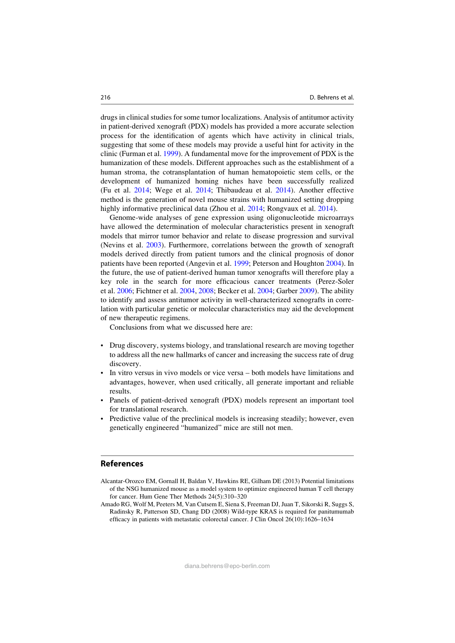drugs in clinical studies for some tumor localizations. Analysis of antitumor activity in patient-derived xenograft (PDX) models has provided a more accurate selection process for the identification of agents which have activity in clinical trials, suggesting that some of these models may provide a useful hint for activity in the clinic (Furman et al. 1999). A fundamental move for the improvement of PDX is the humanization of these models. Different approaches such as the establishment of a human stroma, the cotransplantation of human hematopoietic stem cells, or the development of humanized homing niches have been successfully realized (Fu et al. 2014; Wege et al. 2014; Thibaudeau et al. 2014). Another effective method is the generation of novel mouse strains with humanized setting dropping highly informative preclinical data (Zhou et al. 2014; Rongvaux et al. 2014).

Genome-wide analyses of gene expression using oligonucleotide microarrays have allowed the determination of molecular characteristics present in xenograft models that mirror tumor behavior and relate to disease progression and survival (Nevins et al. 2003). Furthermore, correlations between the growth of xenograft models derived directly from patient tumors and the clinical prognosis of donor patients have been reported (Angevin et al. 1999; Peterson and Houghton 2004). In the future, the use of patient-derived human tumor xenografts will therefore play a key role in the search for more efficacious cancer treatments (Perez-Soler et al. 2006; Fichtner et al. 2004, 2008; Becker et al. 2004; Garber 2009). The ability to identify and assess antitumor activity in well-characterized xenografts in correlation with particular genetic or molecular characteristics may aid the development of new therapeutic regimens.

Conclusions from what we discussed here are:

- Drug discovery, systems biology, and translational research are moving together to address all the new hallmarks of cancer and increasing the success rate of drug discovery.
- In vitro versus in vivo models or vice versa both models have limitations and advantages, however, when used critically, all generate important and reliable results.
- Panels of patient-derived xenograft (PDX) models represent an important tool for translational research.
- Predictive value of the preclinical models is increasing steadily; however, even genetically engineered "humanized" mice are still not men.

#### References

- Alcantar-Orozco EM, Gornall H, Baldan V, Hawkins RE, Gilham DE (2013) Potential limitations of the NSG humanized mouse as a model system to optimize engineered human T cell therapy for cancer. Hum Gene Ther Methods 24(5):310–320
- Amado RG, Wolf M, Peeters M, Van Cutsem E, Siena S, Freeman DJ, Juan T, Sikorski R, Suggs S, Radinsky R, Patterson SD, Chang DD (2008) Wild-type KRAS is required for panitumumab efficacy in patients with metastatic colorectal cancer. J Clin Oncol 26(10):1626–1634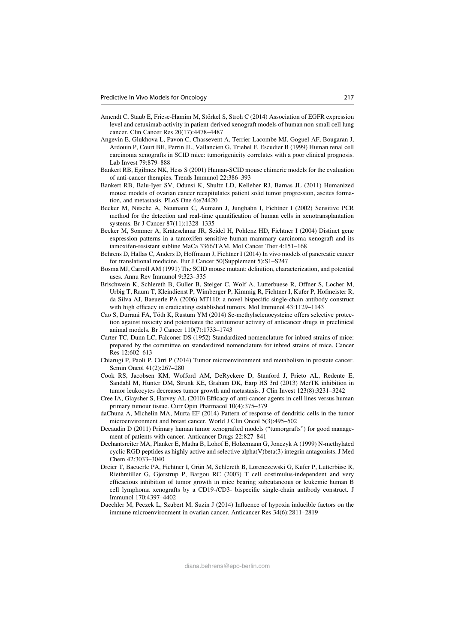- Amendt C, Staub E, Friese-Hamim M, Störkel S, Stroh C (2014) Association of EGFR expression level and cetuximab activity in patient-derived xenograft models of human non-small cell lung cancer. Clin Cancer Res 20(17):4478–4487
- Angevin E, Glukhova L, Pavon C, Chassevent A, Terrier-Lacombe MJ, Goguel AF, Bougaran J, Ardouin P, Court BH, Perrin JL, Vallancien G, Triebel F, Escudier B (1999) Human renal cell carcinoma xenografts in SCID mice: tumorigenicity correlates with a poor clinical prognosis. Lab Invest 79:879–888
- Bankert RB, Egilmez NK, Hess S (2001) Human-SCID mouse chimeric models for the evaluation of anti-cancer therapies. Trends Immunol 22:386–393
- Bankert RB, Balu-Iyer SV, Odunsi K, Shultz LD, Kelleher RJ, Barnas JL (2011) Humanized mouse models of ovarian cancer recapitulates patient solid tumor progression, ascites formation, and metastasis. PLoS One 6:e24420
- Becker M, Nitsche A, Neumann C, Aumann J, Junghahn I, Fichtner I (2002) Sensitive PCR method for the detection and real-time quantification of human cells in xenotransplantation systems. Br J Cancer 87(11):1328–1335
- Becker M, Sommer A, Krätzschmar JR, Seidel H, Pohlenz HD, Fichtner I (2004) Distinct gene expression patterns in a tamoxifen-sensitive human mammary carcinoma xenograft and its tamoxifen-resistant subline MaCa 3366/TAM. Mol Cancer Ther 4:151–168
- Behrens D, Hallas C, Anders D, Hoffmann J, Fichtner I (2014) In vivo models of pancreatic cancer for translational medicine. Eur J Cancer 50(Supplement 5):S1–S247
- Bosma MJ, Carroll AM (1991) The SCID mouse mutant: definition, characterization, and potential uses. Annu Rev Immunol 9:323–335
- Brischwein K, Schlereth B, Guller B, Steiger C, Wolf A, Lutterbuese R, Offner S, Locher M, Urbig T, Raum T, Kleindienst P, Wimberger P, Kimmig R, Fichtner I, Kufer P, Hofmeister R, da Silva AJ, Baeuerle PA (2006) MT110: a novel bispecific single-chain antibody construct with high efficacy in eradicating established tumors. Mol Immunol 43:1129–1143
- Cao S, Durrani FA, Tóth K, Rustum YM (2014) Se-methylselenocysteine offers selective protection against toxicity and potentiates the antitumour activity of anticancer drugs in preclinical animal models. Br J Cancer 110(7):1733–1743
- Carter TC, Dunn LC, Falconer DS (1952) Standardized nomenclature for inbred strains of mice: prepared by the committee on standardized nomenclature for inbred strains of mice. Cancer Res 12:602–613
- Chiarugi P, Paoli P, Cirri P (2014) Tumor microenvironment and metabolism in prostate cancer. Semin Oncol 41(2):267–280
- Cook RS, Jacobsen KM, Wofford AM, DeRyckere D, Stanford J, Prieto AL, Redente E, Sandahl M, Hunter DM, Strunk KE, Graham DK, Earp HS 3rd (2013) MerTK inhibition in tumor leukocytes decreases tumor growth and metastasis. J Clin Invest 123(8):3231–3242
- Cree IA, Glaysher S, Harvey AL (2010) Efficacy of anti-cancer agents in cell lines versus human primary tumour tissue. Curr Opin Pharmacol 10(4):375–379
- daChuna A, Michelin MA, Murta EF (2014) Pattern of response of dendritic cells in the tumor microenvironment and breast cancer. World J Clin Oncol 5(3):495–502
- Decaudin D (2011) Primary human tumor xenografted models ("tumorgrafts") for good management of patients with cancer. Anticancer Drugs 22:827–841
- Dechantsreiter MA, Planker E, Matha B, Lohof E, Holzemann G, Jonczyk A (1999) N-methylated cyclic RGD peptides as highly active and selective alpha(V)beta(3) integrin antagonists. J Med Chem 42:3033–3040
- Dreier T, Baeuerle PA, Fichtner I, Grün M, Schlereth B, Lorenczewski G, Kufer P, Lutterbüse R, Riethmüller G, Gjorstrup P, Bargou RC (2003) T cell costimulus-independent and very efficacious inhibition of tumor growth in mice bearing subcutaneous or leukemic human B cell lymphoma xenografts by a CD19-/CD3- bispecific single-chain antibody construct. J Immunol 170:4397–4402
- Duechler M, Peczek L, Szubert M, Suzin J (2014) Influence of hypoxia inducible factors on the immune microenvironment in ovarian cancer. Anticancer Res 34(6):2811–2819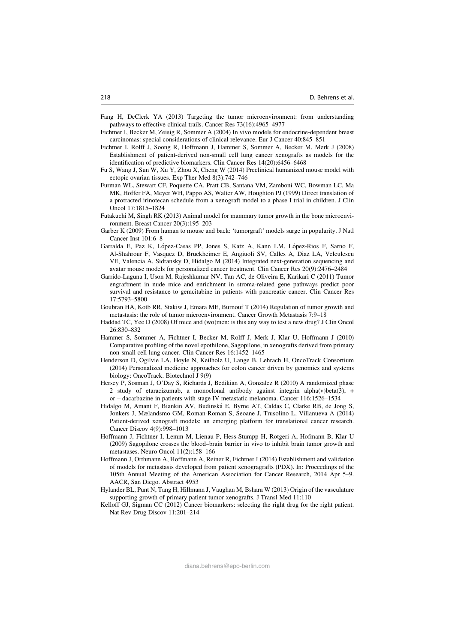- Fang H, DeClerk YA (2013) Targeting the tumor microenvironment: from understanding pathways to effective clinical trails. Cancer Res 73(16):4965–4977
- Fichtner I, Becker M, Zeisig R, Sommer A (2004) In vivo models for endocrine-dependent breast carcinomas: special considerations of clinical relevance. Eur J Cancer 40:845–851
- Fichtner I, Rolff J, Soong R, Hoffmann J, Hammer S, Sommer A, Becker M, Merk J (2008) Establishment of patient-derived non-small cell lung cancer xenografts as models for the identification of predictive biomarkers. Clin Cancer Res 14(20):6456–6468
- Fu S, Wang J, Sun W, Xu Y, Zhou X, Cheng W (2014) Preclinical humanized mouse model with ectopic ovarian tissues. Exp Ther Med 8(3):742–746
- Furman WL, Stewart CF, Poquette CA, Pratt CB, Santana VM, Zamboni WC, Bowman LC, Ma MK, Hoffer FA, Meyer WH, Pappo AS, Walter AW, Houghton PJ (1999) Direct translation of a protracted irinotecan schedule from a xenograft model to a phase I trial in children. J Clin Oncol 17:1815–1824
- Futakuchi M, Singh RK (2013) Animal model for mammary tumor growth in the bone microenvironment. Breast Cancer 20(3):195–203
- Garber K (2009) From human to mouse and back: 'tumorgraft' models surge in popularity. J Natl Cancer Inst 101:6–8
- Garralda E, Paz K, López-Casas PP, Jones S, Katz A, Kann LM, López-Rios F, Sarno F, Al-Shahrour F, Vasquez D, Bruckheimer E, Angiuoli SV, Calles A, Diaz LA, Velculescu VE, Valencia A, Sidransky D, Hidalgo M (2014) Integrated next-generation sequencing and avatar mouse models for personalized cancer treatment. Clin Cancer Res 20(9):2476–2484
- Garrido-Laguna I, Uson M, Rajeshkumar NV, Tan AC, de Oliveira E, Karikari C (2011) Tumor engraftment in nude mice and enrichment in stroma-related gene pathways predict poor survival and resistance to gemcitabine in patients with pancreatic cancer. Clin Cancer Res 17:5793–5800
- Goubran HA, Kotb RR, Stakiw J, Emara ME, Burnouf T (2014) Regulation of tumor growth and metastasis: the role of tumor microenvironment. Cancer Growth Metastasis 7:9–18
- Haddad TC, Yee D (2008) Of mice and (wo)men: is this any way to test a new drug? J Clin Oncol 26:830–832
- Hammer S, Sommer A, Fichtner I, Becker M, Rolff J, Merk J, Klar U, Hoffmann J (2010) Comparative profiling of the novel epothilone, Sagopilone, in xenografts derived from primary non-small cell lung cancer. Clin Cancer Res 16:1452–1465
- Henderson D, Ogilvie LA, Hoyle N, Keilholz U, Lange B, Lehrach H, OncoTrack Consortium (2014) Personalized medicine approaches for colon cancer driven by genomics and systems biology: OncoTrack. Biotechnol J 9(9)
- Hersey P, Sosman J, O'Day S, Richards J, Bedikian A, Gonzalez R (2010) A randomized phase 2 study of etaracizumab, a monoclonal antibody against integrin alpha(v)beta(3), + or - dacarbazine in patients with stage IV metastatic melanoma. Cancer 116:1526-1534
- Hidalgo M, Amant F, Biankin AV, Budinska´ E, Byrne AT, Caldas C, Clarke RB, de Jong S, Jonkers J, Mælandsmo GM, Roman-Roman S, Seoane J, Trusolino L, Villanueva A (2014) Patient-derived xenograft models: an emerging platform for translational cancer research. Cancer Discov 4(9):998–1013
- Hoffmann J, Fichtner I, Lemm M, Lienau P, Hess-Stumpp H, Rotgeri A, Hofmann B, Klar U (2009) Sagopilone crosses the blood–brain barrier in vivo to inhibit brain tumor growth and metastases. Neuro Oncol 11(2):158–166
- Hoffmann J, Orthmann A, Hoffmann A, Reiner R, Fichtner I (2014) Establishment and validation of models for metastasis developed from patient xenogragrafts (PDX). In: Proceedings of the 105th Annual Meeting of the American Association for Cancer Research, 2014 Apr 5–9. AACR, San Diego. Abstract 4953
- Hylander BL, Punt N, Tang H, Hillmann J, Vaughan M, Bshara W (2013) Origin of the vasculature supporting growth of primary patient tumor xenografts. J Transl Med 11:110
- Kelloff GJ, Sigman CC (2012) Cancer biomarkers: selecting the right drug for the right patient. Nat Rev Drug Discov 11:201–214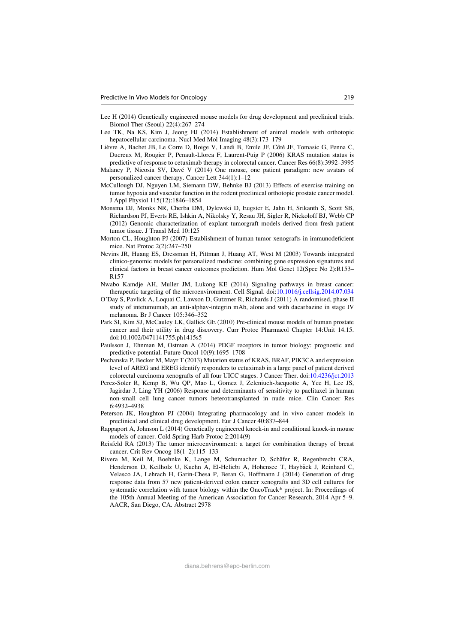- Lee H (2014) Genetically engineered mouse models for drug development and preclinical trials. Biomol Ther (Seoul) 22(4):267–274
- Lee TK, Na KS, Kim J, Jeong HJ (2014) Establishment of animal models with orthotopic hepatocellular carcinoma. Nucl Med Mol Imaging 48(3):173–179
- Lièvre A, Bachet JB, Le Corre D, Boige V, Landi B, Emile JF, Côté JF, Tomasic G, Penna C, Ducreux M, Rougier P, Penault-Llorca F, Laurent-Puig P (2006) KRAS mutation status is predictive of response to cetuximab therapy in colorectal cancer. Cancer Res 66(8):3992–3995
- Malaney P, Nicosia SV, Davé V (2014) One mouse, one patient paradigm: new avatars of personalized cancer therapy. Cancer Lett 344(1):1–12
- McCullough DJ, Nguyen LM, Siemann DW, Behnke BJ (2013) Effects of exercise training on tumor hypoxia and vascular function in the rodent preclinical orthotopic prostate cancer model. J Appl Physiol 115(12):1846–1854
- Monsma DJ, Monks NR, Cherba DM, Dylewski D, Eugster E, Jahn H, Srikanth S, Scott SB, Richardson PJ, Everts RE, Ishkin A, Nikolsky Y, Resau JH, Sigler R, Nickoloff BJ, Webb CP (2012) Genomic characterization of explant tumorgraft models derived from fresh patient tumor tissue. J Transl Med 10:125
- Morton CL, Houghton PJ (2007) Establishment of human tumor xenografts in immunodeficient mice. Nat Protoc 2(2):247–250
- Nevins JR, Huang ES, Dressman H, Pittman J, Huang AT, West M (2003) Towards integrated clinico-genomic models for personalized medicine: combining gene expression signatures and clinical factors in breast cancer outcomes prediction. Hum Mol Genet 12(Spec No 2):R153– R157
- Nwabo Kamdje AH, Muller JM, Lukong KE (2014) Signaling pathways in breast cancer: therapeutic targeting of the microenvironment. Cell Signal. doi:10.1016/j.cellsig.2014.07.034
- O'Day S, Pavlick A, Loquai C, Lawson D, Gutzmer R, Richards J (2011) A randomised, phase II study of intetumumab, an anti-alphav-integrin mAb, alone and with dacarbazine in stage IV melanoma. Br J Cancer 105:346–352
- Park SI, Kim SJ, McCauley LK, Gallick GE (2010) Pre-clinical mouse models of human prostate cancer and their utility in drug discovery. Curr Protoc Pharmacol Chapter 14:Unit 14.15. doi:10.1002/0471141755.ph1415s5
- Paulsson J, Ehnman M, Ostman A (2014) PDGF receptors in tumor biology: prognostic and predictive potential. Future Oncol 10(9):1695–1708
- Pechanska P, Becker M, Mayr T (2013) Mutation status of KRAS, BRAF, PIK3CA and expression level of AREG and EREG identify responders to cetuximab in a large panel of patient derived colorectal carcinoma xenografts of all four UICC stages. J Cancer Ther. doi:10.4236/jct.2013
- Perez-Soler R, Kemp B, Wu QP, Mao L, Gomez J, Zeleniuch-Jacquotte A, Yee H, Lee JS, Jagirdar J, Ling YH (2006) Response and determinants of sensitivity to paclitaxel in human non-small cell lung cancer tumors heterotransplanted in nude mice. Clin Cancer Res 6:4932–4938
- Peterson JK, Houghton PJ (2004) Integrating pharmacology and in vivo cancer models in preclinical and clinical drug development. Eur J Cancer 40:837–844
- Rappaport A, Johnson L (2014) Genetically engineered knock-in and conditional knock-in mouse models of cancer. Cold Spring Harb Protoc 2:2014(9)
- Reisfeld RA (2013) The tumor microenvironment: a target for combination therapy of breast cancer. Crit Rev Oncog 18(1–2):115–133
- Rivera M, Keil M, Boehnke K, Lange M, Schumacher D, Schäfer R, Regenbrecht CRA, Henderson D, Keilholz U, Kuehn A, El-Heliebi A, Hohensee T, Haybäck J, Reinhard C, Velasco JA, Lehrach H, Garin-Chesa P, Beran G, Hoffmann J (2014) Generation of drug response data from 57 new patient-derived colon cancer xenografts and 3D cell cultures for systematic correlation with tumor biology within the OncoTrack\* project. In: Proceedings of the 105th Annual Meeting of the American Association for Cancer Research, 2014 Apr 5–9. AACR, San Diego, CA. Abstract 2978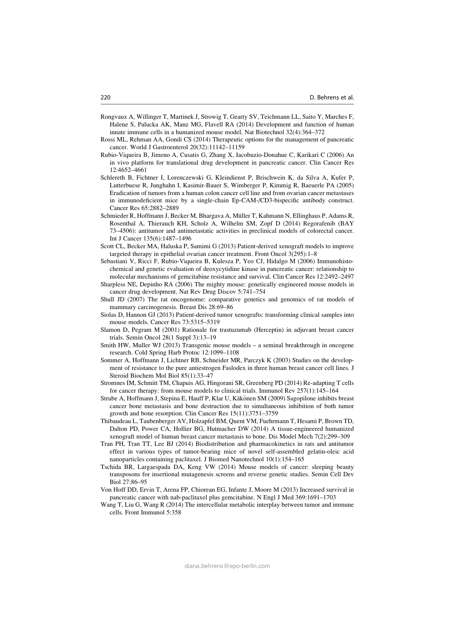- Rongvaux A, Willinger T, Martinek J, Strowig T, Gearty SV, Teichmann LL, Saito Y, Marches F, Halene S, Palucka AK, Manz MG, Flavell RA (2014) Development and function of human innate immune cells in a humanized mouse model. Nat Biotechnol 32(4):364–372
- Rossi ML, Rehman AA, Gondi CS (2014) Therapeutic options for the management of pancreatic cancer. World J Gastroenterol 20(32):11142–11159
- Rubio-Viqueira B, Jimeno A, Cusatis G, Zhang X, Iacobuzio-Donahue C, Karikari C (2006) An in vivo platform for translational drug development in pancreatic cancer. Clin Cancer Res 12:4652–4661
- Schlereth B, Fichtner I, Lorenczewski G, Kleindienst P, Brischwein K, da Silva A, Kufer P, Lutterbuese R, Junghahn I, Kasimir-Bauer S, Wimberger P, Kimmig R, Baeuerle PA (2005) Eradication of tumors from a human colon cancer cell line and from ovarian cancer metastases in immunodeficient mice by a single-chain Ep-CAM-/CD3-bispecific antibody construct. Cancer Res 65:2882–2889
- Schmieder R, Hoffmann J, Becker M, Bhargava A, Müller T, Kahmann N, Ellinghaus P, Adams R, Rosenthal A, Thierauch KH, Scholz A, Wilhelm SM, Zopf D (2014) Regorafenib (BAY 73–4506): antitumor and antimetastatic activities in preclinical models of colorectal cancer. Int J Cancer 135(6):1487–1496
- Scott CL, Becker MA, Haluska P, Samimi G (2013) Patient-derived xenograft models to improve targeted therapy in epithelial ovarian cancer treatment. Front Oncol 3(295):1–8
- Sebastiani V, Ricci F, Rubio-Viqueira B, Kulesza P, Yeo CJ, Hidalgo M (2006) Immunohistochemical and genetic evaluation of deoxycytidine kinase in pancreatic cancer: relationship to molecular mechanisms of gemcitabine resistance and survival. Clin Cancer Res 12:2492–2497
- Sharpless NE, Depinho RA (2006) The mighty mouse: genetically engineered mouse models in cancer drug development. Nat Rev Drug Discov 5:741–754
- Shull JD (2007) The rat oncogenome: comparative genetics and genomics of rat models of mammary carcinogenesis. Breast Dis 28:69–86
- Siolas D, Hannon GJ (2013) Patient-derived tumor xenografts: transforming clinical samples into mouse models. Cancer Res 73:5315–5319
- Slamon D, Pegram M (2001) Rationale for trastuzumab (Herceptin) in adjuvant breast cancer trials. Semin Oncol 28(1 Suppl 3):13–19
- Smith HW, Muller WJ (2013) Transgenic mouse models a seminal breakthrough in oncogene research. Cold Spring Harb Protoc 12:1099–1108
- Sommer A, Hoffmann J, Lichtner RB, Schneider MR, Parczyk K (2003) Studies on the development of resistance to the pure antiestrogen Faslodex in three human breast cancer cell lines. J Steroid Biochem Mol Biol 85(1):33–47
- Stromnes IM, Schmitt TM, Chapuis AG, Hingorani SR, Greenberg PD (2014) Re-adapting T cells for cancer therapy: from mouse models to clinical trials. Immunol Rev 257(1):145–164
- Strube A, Hoffmann J, Stepina E, Hauff P, Klar U, Käkönen SM (2009) Sagopilone inhibits breast cancer bone metastasis and bone destruction due to simultaneous inhibition of both tumor growth and bone resorption. Clin Cancer Res 15(11):3751–3759
- Thibaudeau L, Taubenberger AV, Holzapfel BM, Quent VM, Fuehrmann T, Hesami P, Brown TD, Dalton PD, Power CA, Hollier BG, Hutmacher DW (2014) A tissue-engineered humanized xenograft model of human breast cancer metastasis to bone. Dis Model Mech 7(2):299–309
- Tran PH, Tran TT, Lee BJ (2014) Biodistribution and pharmacokinetics in rats and antitumor effect in various types of tumor-bearing mice of novel self-assembled gelatin-oleic acid nanoparticles containing paclitaxel. J Biomed Nanotechnol 10(1):154–165
- Tschida BR, Largaespada DA, Keng VW (2014) Mouse models of cancer: sleeping beauty transposons for insertional mutagenesis screens and reverse genetic studies. Semin Cell Dev Biol 27:86–95
- Von Hoff DD, Ervin T, Arena FP, Chiorean EG, Infante J, Moore M (2013) Increased survival in pancreatic cancer with nab-paclitaxel plus gemcitabine. N Engl J Med 369:1691–1703
- Wang T, Liu G, Wang R (2014) The intercellular metabolic interplay between tumor and immune cells. Front Immunol 5:358